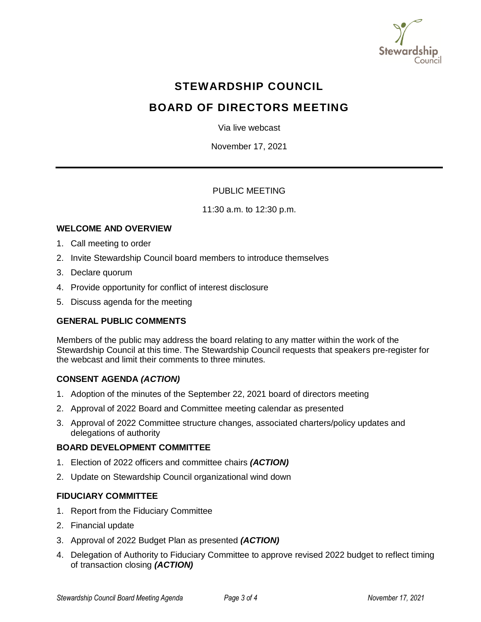

# **STEWARDSHIP COUNCIL**

# **BOARD OF DIRECTORS MEETING**

Via live webcast

November 17, 2021

## PUBLIC MEETING

11:30 a.m. to 12:30 p.m.

## **WELCOME AND OVERVIEW**

- 1. Call meeting to order
- 2. Invite Stewardship Council board members to introduce themselves
- 3. Declare quorum
- 4. Provide opportunity for conflict of interest disclosure
- 5. Discuss agenda for the meeting

## **GENERAL PUBLIC COMMENTS**

Members of the public may address the board relating to any matter within the work of the Stewardship Council at this time. The Stewardship Council requests that speakers pre-register for the webcast and limit their comments to three minutes.

## **CONSENT AGENDA** *(ACTION)*

- 1. Adoption of the minutes of the September 22, 2021 board of directors meeting
- 2. Approval of 2022 Board and Committee meeting calendar as presented
- 3. Approval of 2022 Committee structure changes, associated charters/policy updates and delegations of authority

#### **BOARD DEVELOPMENT COMMITTEE**

- 1. Election of 2022 officers and committee chairs *(ACTION)*
- 2. Update on Stewardship Council organizational wind down

## **FIDUCIARY COMMITTEE**

- 1. Report from the Fiduciary Committee
- 2. Financial update
- 3. Approval of 2022 Budget Plan as presented *(ACTION)*
- 4. Delegation of Authority to Fiduciary Committee to approve revised 2022 budget to reflect timing of transaction closing *(ACTION)*